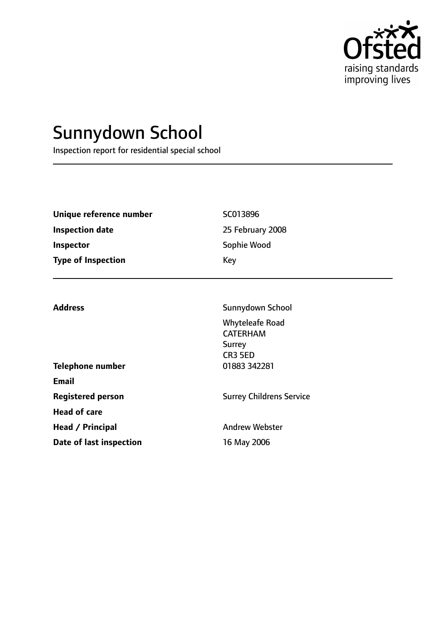

# Sunnydown School

Inspection report for residential special school

| Unique reference number   | SC013896         |
|---------------------------|------------------|
| <b>Inspection date</b>    | 25 February 2008 |
| <b>Inspector</b>          | Sophie Wood      |
| <b>Type of Inspection</b> | Key              |
|                           |                  |

|                          | CR3 5ED                 |
|--------------------------|-------------------------|
| <b>Telephone number</b>  | 01883 342281            |
| Email                    |                         |
| <b>Registered person</b> | <b>Surrey Childrens</b> |
| <b>Head of care</b>      |                         |
| Head / Principal         | <b>Andrew Webster</b>   |
| Date of last inspection  | 16 May 2006             |
|                          |                         |

Address **Sunnydown School** Whyteleafe Road CATERHAM Surrey

**Ridrens Service**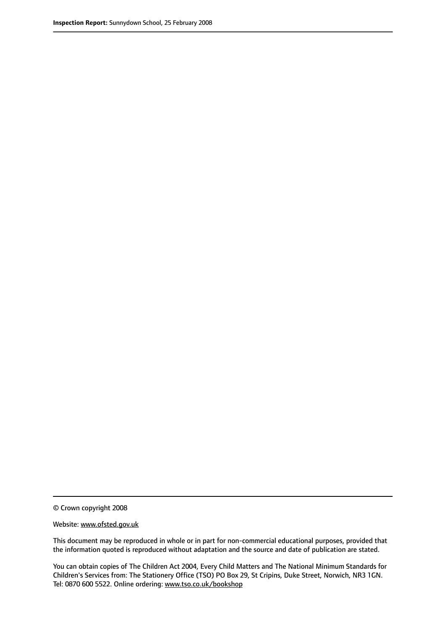© Crown copyright 2008

Website: www.ofsted.gov.uk

This document may be reproduced in whole or in part for non-commercial educational purposes, provided that the information quoted is reproduced without adaptation and the source and date of publication are stated.

You can obtain copies of The Children Act 2004, Every Child Matters and The National Minimum Standards for Children's Services from: The Stationery Office (TSO) PO Box 29, St Cripins, Duke Street, Norwich, NR3 1GN. Tel: 0870 600 5522. Online ordering: www.tso.co.uk/bookshop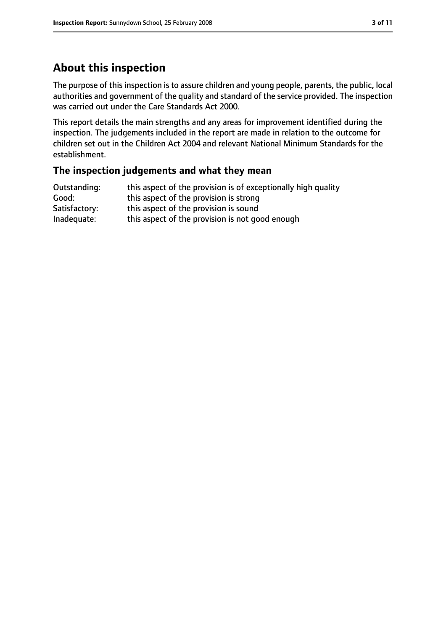# **About this inspection**

The purpose of this inspection is to assure children and young people, parents, the public, local authorities and government of the quality and standard of the service provided. The inspection was carried out under the Care Standards Act 2000.

This report details the main strengths and any areas for improvement identified during the inspection. The judgements included in the report are made in relation to the outcome for children set out in the Children Act 2004 and relevant National Minimum Standards for the establishment.

### **The inspection judgements and what they mean**

| Outstanding:  | this aspect of the provision is of exceptionally high quality |
|---------------|---------------------------------------------------------------|
| Good:         | this aspect of the provision is strong                        |
| Satisfactory: | this aspect of the provision is sound                         |
| Inadequate:   | this aspect of the provision is not good enough               |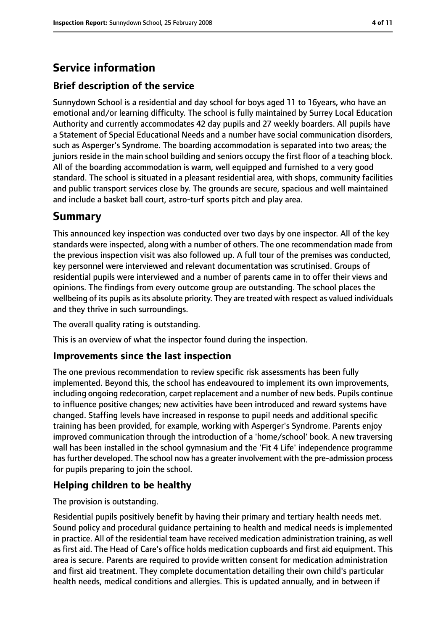# **Service information**

### **Brief description of the service**

Sunnydown School is a residential and day school for boys aged 11 to 16years, who have an emotional and/or learning difficulty. The school is fully maintained by Surrey Local Education Authority and currently accommodates 42 day pupils and 27 weekly boarders. All pupils have a Statement of Special Educational Needs and a number have social communication disorders, such as Asperger's Syndrome. The boarding accommodation is separated into two areas; the juniors reside in the main school building and seniors occupy the first floor of a teaching block. All of the boarding accommodation is warm, well equipped and furnished to a very good standard. The school is situated in a pleasant residential area, with shops, community facilities and public transport services close by. The grounds are secure, spacious and well maintained and include a basket ball court, astro-turf sports pitch and play area.

# **Summary**

This announced key inspection was conducted over two days by one inspector. All of the key standards were inspected, along with a number of others. The one recommendation made from the previous inspection visit was also followed up. A full tour of the premises was conducted, key personnel were interviewed and relevant documentation was scrutinised. Groups of residential pupils were interviewed and a number of parents came in to offer their views and opinions. The findings from every outcome group are outstanding. The school places the wellbeing of its pupils as its absolute priority. They are treated with respect as valued individuals and they thrive in such surroundings.

The overall quality rating is outstanding.

This is an overview of what the inspector found during the inspection.

### **Improvements since the last inspection**

The one previous recommendation to review specific risk assessments has been fully implemented. Beyond this, the school has endeavoured to implement its own improvements, including ongoing redecoration, carpet replacement and a number of new beds. Pupils continue to influence positive changes; new activities have been introduced and reward systems have changed. Staffing levels have increased in response to pupil needs and additional specific training has been provided, for example, working with Asperger's Syndrome. Parents enjoy improved communication through the introduction of a 'home/school' book. A new traversing wall has been installed in the school gymnasium and the 'Fit 4 Life' independence programme has further developed. The school now has a greater involvement with the pre-admission process for pupils preparing to join the school.

### **Helping children to be healthy**

The provision is outstanding.

Residential pupils positively benefit by having their primary and tertiary health needs met. Sound policy and procedural guidance pertaining to health and medical needs is implemented in practice. All of the residential team have received medication administration training, as well as first aid. The Head of Care's office holds medication cupboards and first aid equipment. This area is secure. Parents are required to provide written consent for medication administration and first aid treatment. They complete documentation detailing their own child's particular health needs, medical conditions and allergies. This is updated annually, and in between if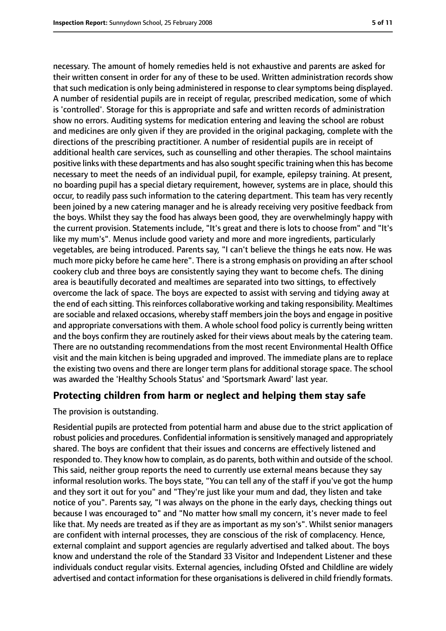necessary. The amount of homely remedies held is not exhaustive and parents are asked for their written consent in order for any of these to be used. Written administration records show that such medication is only being administered in response to clear symptoms being displayed. A number of residential pupils are in receipt of regular, prescribed medication, some of which is 'controlled'. Storage for this is appropriate and safe and written records of administration show no errors. Auditing systems for medication entering and leaving the school are robust and medicines are only given if they are provided in the original packaging, complete with the directions of the prescribing practitioner. A number of residential pupils are in receipt of additional health care services, such as counselling and other therapies. The school maintains positive links with these departments and has also sought specific training when this has become necessary to meet the needs of an individual pupil, for example, epilepsy training. At present, no boarding pupil has a special dietary requirement, however, systems are in place, should this occur, to readily pass such information to the catering department. This team has very recently been joined by a new catering manager and he is already receiving very positive feedback from the boys. Whilst they say the food has always been good, they are overwhelmingly happy with the current provision. Statements include, "It's great and there is lots to choose from" and "It's like my mum's". Menus include good variety and more and more ingredients, particularly vegetables, are being introduced. Parents say, "I can't believe the things he eats now. He was much more picky before he came here". There is a strong emphasis on providing an after school cookery club and three boys are consistently saying they want to become chefs. The dining area is beautifully decorated and mealtimes are separated into two sittings, to effectively overcome the lack of space. The boys are expected to assist with serving and tidying away at the end of each sitting. This reinforces collaborative working and taking responsibility. Mealtimes are sociable and relaxed occasions, whereby staff membersjoin the boys and engage in positive and appropriate conversations with them. A whole school food policy is currently being written and the boys confirm they are routinely asked for their views about meals by the catering team. There are no outstanding recommendations from the most recent Environmental Health Office visit and the main kitchen is being upgraded and improved. The immediate plans are to replace the existing two ovens and there are longer term plans for additional storage space. The school was awarded the 'Healthy Schools Status' and 'Sportsmark Award' last year.

#### **Protecting children from harm or neglect and helping them stay safe**

The provision is outstanding.

Residential pupils are protected from potential harm and abuse due to the strict application of robust policies and procedures. Confidential information is sensitively managed and appropriately shared. The boys are confident that their issues and concerns are effectively listened and responded to. They know how to complain, as do parents, both within and outside of the school. This said, neither group reports the need to currently use external means because they say informal resolution works. The boys state, "You can tell any of the staff if you've got the hump and they sort it out for you" and "They're just like your mum and dad, they listen and take notice of you". Parents say, "I was always on the phone in the early days, checking things out because I was encouraged to" and "No matter how small my concern, it's never made to feel like that. My needs are treated as if they are as important as my son's". Whilst senior managers are confident with internal processes, they are conscious of the risk of complacency. Hence, external complaint and support agencies are regularly advertised and talked about. The boys know and understand the role of the Standard 33 Visitor and Independent Listener and these individuals conduct regular visits. External agencies, including Ofsted and Childline are widely advertised and contact information for these organisations is delivered in child friendly formats.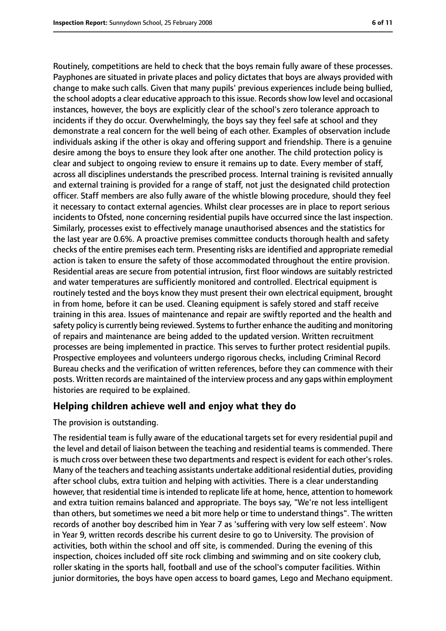Routinely, competitions are held to check that the boys remain fully aware of these processes. Payphones are situated in private places and policy dictates that boys are always provided with change to make such calls. Given that many pupils' previous experiences include being bullied, the school adopts a clear educative approach to this issue. Records show low level and occasional instances, however, the boys are explicitly clear of the school's zero tolerance approach to incidents if they do occur. Overwhelmingly, the boys say they feel safe at school and they demonstrate a real concern for the well being of each other. Examples of observation include individuals asking if the other is okay and offering support and friendship. There is a genuine desire among the boys to ensure they look after one another. The child protection policy is clear and subject to ongoing review to ensure it remains up to date. Every member of staff, across all disciplines understands the prescribed process. Internal training is revisited annually and external training is provided for a range of staff, not just the designated child protection officer. Staff members are also fully aware of the whistle blowing procedure, should they feel it necessary to contact external agencies. Whilst clear processes are in place to report serious incidents to Ofsted, none concerning residential pupils have occurred since the last inspection. Similarly, processes exist to effectively manage unauthorised absences and the statistics for the last year are 0.6%. A proactive premises committee conducts thorough health and safety checks of the entire premises each term. Presenting risks are identified and appropriate remedial action is taken to ensure the safety of those accommodated throughout the entire provision. Residential areas are secure from potential intrusion, first floor windows are suitably restricted and water temperatures are sufficiently monitored and controlled. Electrical equipment is routinely tested and the boys know they must present their own electrical equipment, brought in from home, before it can be used. Cleaning equipment is safely stored and staff receive training in this area. Issues of maintenance and repair are swiftly reported and the health and safety policy is currently being reviewed. Systemsto further enhance the auditing and monitoring of repairs and maintenance are being added to the updated version. Written recruitment processes are being implemented in practice. This serves to further protect residential pupils. Prospective employees and volunteers undergo rigorous checks, including Criminal Record Bureau checks and the verification of written references, before they can commence with their posts. Written records are maintained of the interview process and any gaps within employment histories are required to be explained.

### **Helping children achieve well and enjoy what they do**

The provision is outstanding.

The residential team is fully aware of the educational targets set for every residential pupil and the level and detail of liaison between the teaching and residential teams is commended. There is much cross over between these two departments and respect is evident for each other's roles. Many of the teachers and teaching assistants undertake additional residential duties, providing after school clubs, extra tuition and helping with activities. There is a clear understanding however, that residential time is intended to replicate life at home, hence, attention to homework and extra tuition remains balanced and appropriate. The boys say, "We're not less intelligent than others, but sometimes we need a bit more help or time to understand things". The written records of another boy described him in Year 7 as 'suffering with very low self esteem'. Now in Year 9, written records describe his current desire to go to University. The provision of activities, both within the school and off site, is commended. During the evening of this inspection, choices included off site rock climbing and swimming and on site cookery club, roller skating in the sports hall, football and use of the school's computer facilities. Within junior dormitories, the boys have open access to board games, Lego and Mechano equipment.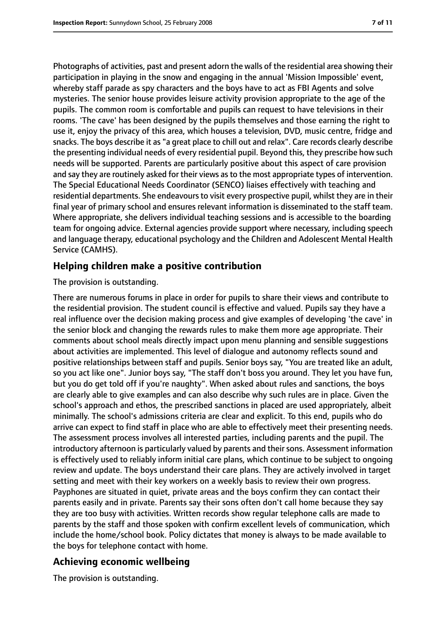Photographs of activities, past and present adorn the walls of the residential area showing their participation in playing in the snow and engaging in the annual 'Mission Impossible' event, whereby staff parade as spy characters and the boys have to act as FBI Agents and solve mysteries. The senior house provides leisure activity provision appropriate to the age of the pupils. The common room is comfortable and pupils can request to have televisions in their rooms. 'The cave' has been designed by the pupils themselves and those earning the right to use it, enjoy the privacy of this area, which houses a television, DVD, music centre, fridge and snacks. The boys describe it as "a great place to chill out and relax". Care records clearly describe the presenting individual needs of every residential pupil. Beyond this, they prescribe how such needs will be supported. Parents are particularly positive about this aspect of care provision and say they are routinely asked for their views as to the most appropriate types of intervention. The Special Educational Needs Coordinator (SENCO) liaises effectively with teaching and residential departments. She endeavours to visit every prospective pupil, whilst they are in their final year of primary school and ensures relevant information is disseminated to the staff team. Where appropriate, she delivers individual teaching sessions and is accessible to the boarding team for ongoing advice. External agencies provide support where necessary, including speech and language therapy, educational psychology and the Children and Adolescent Mental Health Service (CAMHS).

### **Helping children make a positive contribution**

#### The provision is outstanding.

There are numerous forums in place in order for pupils to share their views and contribute to the residential provision. The student council is effective and valued. Pupils say they have a real influence over the decision making process and give examples of developing 'the cave' in the senior block and changing the rewards rules to make them more age appropriate. Their comments about school meals directly impact upon menu planning and sensible suggestions about activities are implemented. This level of dialogue and autonomy reflects sound and positive relationships between staff and pupils. Senior boys say, "You are treated like an adult, so you act like one". Junior boys say, "The staff don't boss you around. They let you have fun, but you do get told off if you're naughty". When asked about rules and sanctions, the boys are clearly able to give examples and can also describe why such rules are in place. Given the school's approach and ethos, the prescribed sanctions in placed are used appropriately, albeit minimally. The school's admissions criteria are clear and explicit. To this end, pupils who do arrive can expect to find staff in place who are able to effectively meet their presenting needs. The assessment process involves all interested parties, including parents and the pupil. The introductory afternoon is particularly valued by parents and their sons. Assessment information is effectively used to reliably inform initial care plans, which continue to be subject to ongoing review and update. The boys understand their care plans. They are actively involved in target setting and meet with their key workers on a weekly basis to review their own progress. Payphones are situated in quiet, private areas and the boys confirm they can contact their parents easily and in private. Parents say their sons often don't call home because they say they are too busy with activities. Written records show regular telephone calls are made to parents by the staff and those spoken with confirm excellent levels of communication, which include the home/school book. Policy dictates that money is always to be made available to the boys for telephone contact with home.

### **Achieving economic wellbeing**

The provision is outstanding.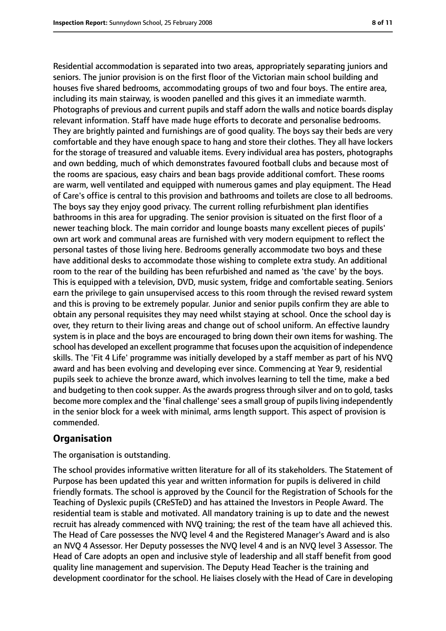Residential accommodation is separated into two areas, appropriately separating juniors and seniors. The junior provision is on the first floor of the Victorian main school building and houses five shared bedrooms, accommodating groups of two and four boys. The entire area, including its main stairway, is wooden panelled and this gives it an immediate warmth. Photographs of previous and current pupils and staff adorn the walls and notice boards display relevant information. Staff have made huge efforts to decorate and personalise bedrooms. They are brightly painted and furnishings are of good quality. The boys say their beds are very comfortable and they have enough space to hang and store their clothes. They all have lockers for the storage of treasured and valuable items. Every individual area has posters, photographs and own bedding, much of which demonstrates favoured football clubs and because most of the rooms are spacious, easy chairs and bean bags provide additional comfort. These rooms are warm, well ventilated and equipped with numerous games and play equipment. The Head of Care's office is central to this provision and bathrooms and toilets are close to all bedrooms. The boys say they enjoy good privacy. The current rolling refurbishment plan identifies bathrooms in this area for upgrading. The senior provision is situated on the first floor of a newer teaching block. The main corridor and lounge boasts many excellent pieces of pupils' own art work and communal areas are furnished with very modern equipment to reflect the personal tastes of those living here. Bedrooms generally accommodate two boys and these have additional desks to accommodate those wishing to complete extra study. An additional room to the rear of the building has been refurbished and named as 'the cave' by the boys. This is equipped with a television, DVD, music system, fridge and comfortable seating. Seniors earn the privilege to gain unsupervised access to this room through the revised reward system and this is proving to be extremely popular. Junior and senior pupils confirm they are able to obtain any personal requisites they may need whilst staying at school. Once the school day is over, they return to their living areas and change out of school uniform. An effective laundry system is in place and the boys are encouraged to bring down their own items for washing. The school has developed an excellent programme that focuses upon the acquisition of independence skills. The 'Fit 4 Life' programme was initially developed by a staff member as part of his NVQ award and has been evolving and developing ever since. Commencing at Year 9, residential pupils seek to achieve the bronze award, which involves learning to tell the time, make a bed and budgeting to then cook supper. As the awards progress through silver and on to gold, tasks become more complex and the 'final challenge' sees a small group of pupils living independently in the senior block for a week with minimal, arms length support. This aspect of provision is commended.

### **Organisation**

The organisation is outstanding.

The school provides informative written literature for all of its stakeholders. The Statement of Purpose has been updated this year and written information for pupils is delivered in child friendly formats. The school is approved by the Council for the Registration of Schools for the Teaching of Dyslexic pupils (CReSTeD) and has attained the Investors in People Award. The residential team is stable and motivated. All mandatory training is up to date and the newest recruit has already commenced with NVQ training; the rest of the team have all achieved this. The Head of Care possesses the NVQ level 4 and the Registered Manager's Award and is also an NVQ 4 Assessor. Her Deputy possesses the NVQ level 4 and is an NVQ level 3 Assessor. The Head of Care adopts an open and inclusive style of leadership and all staff benefit from good quality line management and supervision. The Deputy Head Teacher is the training and development coordinator for the school. He liaises closely with the Head of Care in developing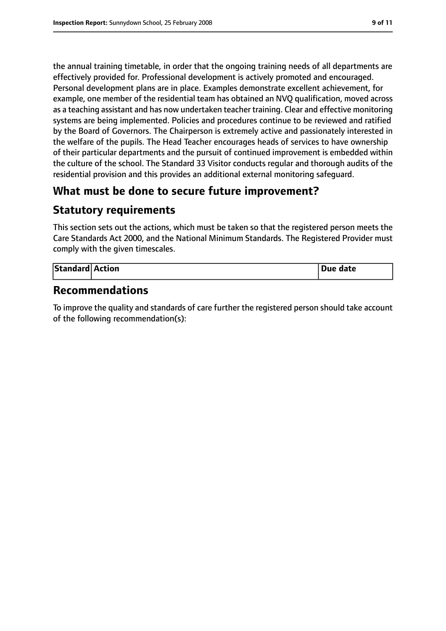the annual training timetable, in order that the ongoing training needs of all departments are effectively provided for. Professional development is actively promoted and encouraged. Personal development plans are in place. Examples demonstrate excellent achievement, for example, one member of the residential team has obtained an NVQ qualification, moved across as a teaching assistant and has now undertaken teacher training. Clear and effective monitoring systems are being implemented. Policies and procedures continue to be reviewed and ratified by the Board of Governors. The Chairperson is extremely active and passionately interested in the welfare of the pupils. The Head Teacher encourages heads of services to have ownership of their particular departments and the pursuit of continued improvement is embedded within the culture of the school. The Standard 33 Visitor conducts regular and thorough audits of the residential provision and this provides an additional external monitoring safeguard.

# **What must be done to secure future improvement?**

# **Statutory requirements**

This section sets out the actions, which must be taken so that the registered person meets the Care Standards Act 2000, and the National Minimum Standards. The Registered Provider must comply with the given timescales.

| Standard Action |  | <b>Due date</b> |
|-----------------|--|-----------------|
|-----------------|--|-----------------|

### **Recommendations**

To improve the quality and standards of care further the registered person should take account of the following recommendation(s):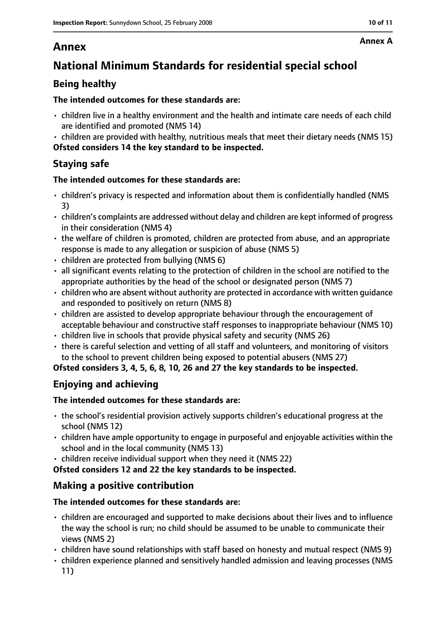# **Annex**

# **National Minimum Standards for residential special school**

### **Being healthy**

### **The intended outcomes for these standards are:**

- children live in a healthy environment and the health and intimate care needs of each child are identified and promoted (NMS 14)
- children are provided with healthy, nutritious meals that meet their dietary needs (NMS 15) **Ofsted considers 14 the key standard to be inspected.**

# **Staying safe**

### **The intended outcomes for these standards are:**

- children's privacy is respected and information about them is confidentially handled (NMS 3)
- children's complaints are addressed without delay and children are kept informed of progress in their consideration (NMS 4)
- the welfare of children is promoted, children are protected from abuse, and an appropriate response is made to any allegation or suspicion of abuse (NMS 5)
- children are protected from bullying (NMS 6)
- all significant events relating to the protection of children in the school are notified to the appropriate authorities by the head of the school or designated person (NMS 7)
- children who are absent without authority are protected in accordance with written guidance and responded to positively on return (NMS 8)
- children are assisted to develop appropriate behaviour through the encouragement of acceptable behaviour and constructive staff responses to inappropriate behaviour (NMS 10)
- children live in schools that provide physical safety and security (NMS 26)
- there is careful selection and vetting of all staff and volunteers, and monitoring of visitors to the school to prevent children being exposed to potential abusers (NMS 27)

**Ofsted considers 3, 4, 5, 6, 8, 10, 26 and 27 the key standards to be inspected.**

# **Enjoying and achieving**

### **The intended outcomes for these standards are:**

- the school's residential provision actively supports children's educational progress at the school (NMS 12)
- children have ample opportunity to engage in purposeful and enjoyable activities within the school and in the local community (NMS 13)
- children receive individual support when they need it (NMS 22)

**Ofsted considers 12 and 22 the key standards to be inspected.**

# **Making a positive contribution**

### **The intended outcomes for these standards are:**

- children are encouraged and supported to make decisions about their lives and to influence the way the school is run; no child should be assumed to be unable to communicate their views (NMS 2)
- children have sound relationships with staff based on honesty and mutual respect (NMS 9)
- children experience planned and sensitively handled admission and leaving processes (NMS 11)